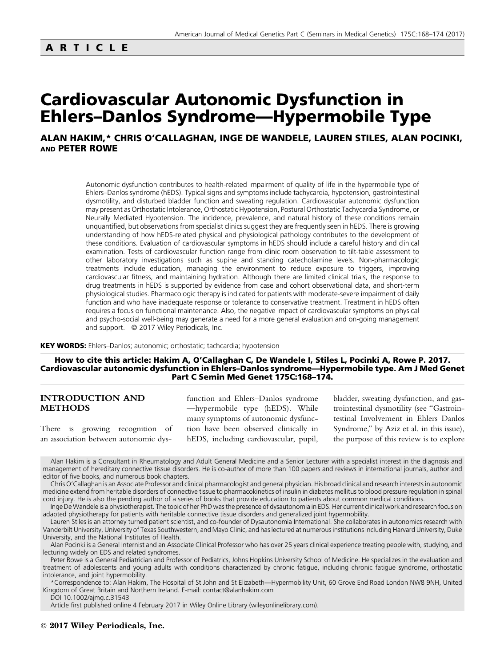# ARTICLE

# Cardiovascular Autonomic Dysfunction in Ehlers–Danlos Syndrome—Hypermobile Type

# ALAN HAKIM,\* CHRIS O'CALLAGHAN, INGE DE WANDELE, LAUREN STILES, ALAN POCINKI, AND PETER ROWE

Autonomic dysfunction contributes to health-related impairment of quality of life in the hypermobile type of Ehlers–Danlos syndrome (hEDS). Typical signs and symptoms include tachycardia, hypotension, gastrointestinal dysmotility, and disturbed bladder function and sweating regulation. Cardiovascular autonomic dysfunction may present as Orthostatic Intolerance, Orthostatic Hypotension, Postural Orthostatic Tachycardia Syndrome, or Neurally Mediated Hypotension. The incidence, prevalence, and natural history of these conditions remain unquantified, but observations from specialist clinics suggest they are frequently seen in hEDS. There is growing understanding of how hEDS-related physical and physiological pathology contributes to the development of these conditions. Evaluation of cardiovascular symptoms in hEDS should include a careful history and clinical examination. Tests of cardiovascular function range from clinic room observation to tilt-table assessment to other laboratory investigations such as supine and standing catecholamine levels. Non-pharmacologic treatments include education, managing the environment to reduce exposure to triggers, improving cardiovascular fitness, and maintaining hydration. Although there are limited clinical trials, the response to drug treatments in hEDS is supported by evidence from case and cohort observational data, and short-term physiological studies. Pharmacologic therapy is indicated for patients with moderate-severe impairment of daily function and who have inadequate response or tolerance to conservative treatment. Treatment in hEDS often requires a focus on functional maintenance. Also, the negative impact of cardiovascular symptoms on physical and psycho-social well-being may generate a need for a more general evaluation and on-going management and support. © 2017 Wiley Periodicals, Inc.

#### KEY WORDS: Ehlers-Danlos; autonomic; orthostatic; tachcardia; hypotension

#### How to cite this article: Hakim A, O'Callaghan C, De Wandele I, Stiles L, Pocinki A, Rowe P. 2017. Cardiovascular autonomic dysfunction in Ehlers–Danlos syndrome—Hypermobile type. Am J Med Genet Part C Semin Med Genet 175C:168–174.

# INTRODUCTION AND METHODS

There is growing recognition of an association between autonomic dysfunction and Ehlers–Danlos syndrome —hypermobile type (hEDS). While many symptoms of autonomic dysfunction have been observed clinically in hEDS, including cardiovascular, pupil, bladder, sweating dysfunction, and gastrointestinal dysmotility (see "Gastrointestinal Involvement in Ehlers Danlos Syndrome," by Aziz et al. in this issue), the purpose of this review is to explore

DOI 10.1002/ajmg.c.31543

Article first published online 4 February 2017 in Wiley Online Library (wileyonlinelibrary.com).

Alan Hakim is a Consultant in Rheumatology and Adult General Medicine and a Senior Lecturer with a specialist interest in the diagnosis and management of hereditary connective tissue disorders. He is co-author of more than 100 papers and reviews in international journals, author and editor of five books, and numerous book chapters.

Chris O'Callaghan is an Associate Professor and clinical pharmacologist and general physician. His broad clinical and research interests in autonomic medicine extend from heritable disorders of connective tissue to pharmacokinetics of insulin in diabetes mellitus to blood pressure regulation in spinal cord injury. He is also the pending author of a series of books that provide education to patients about common medical conditions.

Inge De Wandele is a physiotherapist. The topic of her PhD was the presence of dysautonomia in EDS. Her current clinical work and research focus on adapted physiotherapy for patients with heritable connective tissue disorders and generalized joint hypermobility.

Lauren Stiles is an attorney turned patient scientist, and co-founder of Dysautonomia International. She collaborates in autonomics research with Vanderbilt University, University of Texas Southwestern, and Mayo Clinic, and has lectured at numerous institutions including Harvard University, Duke University, and the National Institutes of Health.

Alan Pocinki is a General Internist and an Associate Clinical Professor who has over 25 years clinical experience treating people with, studying, and lecturing widely on EDS and related syndromes.

Peter Rowe is a General Pediatrician and Professor of Pediatrics, Johns Hopkins University School of Medicine. He specializes in the evaluation and treatment of adolescents and young adults with conditions characterized by chronic fatigue, including chronic fatigue syndrome, orthostatic intolerance, and joint hypermobility.

<sup>\*</sup>Correspondence to: Alan Hakim, The Hospital of St John and St Elizabeth—Hypermobility Unit, 60 Grove End Road London NW8 9NH, United Kingdom of Great Britain and Northern Ireland. E-mail: contact@alanhakim.com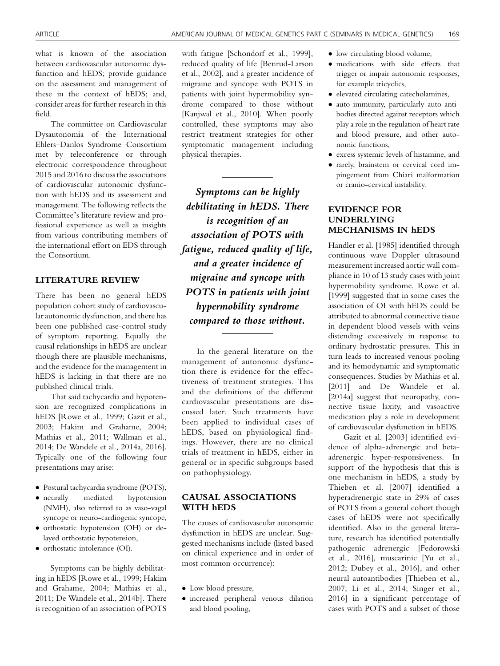what is known of the association between cardiovascular autonomic dysfunction and hEDS; provide guidance on the assessment and management of these in the context of hEDS; and, consider areas for further research in this field.

The committee on Cardiovascular Dysautonomia of the International Ehlers–Danlos Syndrome Consortium met by teleconference or through electronic correspondence throughout 2015 and 2016 to discuss the associations of cardiovascular autonomic dysfunction with hEDS and its assessment and management. The following reflects the Committee's literature review and professional experience as well as insights from various contributing members of the international effort on EDS through the Consortium.

# LITERATURE REVIEW

There has been no general hEDS population cohort study of cardiovascular autonomic dysfunction, and there has been one published case-control study of symptom reporting. Equally the causal relationships in hEDS are unclear though there are plausible mechanisms, and the evidence for the management in hEDS is lacking in that there are no published clinical trials.

That said tachycardia and hypotension are recognized complications in hEDS [Rowe et al., 1999; Gazit et al., 2003; Hakim and Grahame, 2004; Mathias et al., 2011; Wallman et al., 2014; De Wandele et al., 2014a, 2016]. Typically one of the following four presentations may arise:

- Postural tachycardia syndrome (POTS),
- hypotension (NMH), also referred to as vaso-vagal syncope or neuro-cardiogenic syncope,
- orthostatic hypotension (OH) or delayed orthostatic hypotension,
- orthostatic intolerance (OI).

Symptoms can be highly debilitating in hEDS [Rowe et al., 1999; Hakim and Grahame, 2004; Mathias et al., 2011; De Wandele et al., 2014b]. There is recognition of an association of POTS with fatigue [Schondorf et al., 1999], reduced quality of life [Benrud-Larson et al., 2002], and a greater incidence of migraine and syncope with POTS in patients with joint hypermobility syndrome compared to those without [Kanjwal et al., 2010]. When poorly controlled, these symptoms may also restrict treatment strategies for other symptomatic management including physical therapies.

Symptoms can be highly debilitating in hEDS. There is recognition of an association of POTS with fatigue, reduced quality of life, and a greater incidence of migraine and syncope with POTS in patients with joint hypermobility syndrome compared to those without.

In the general literature on the management of autonomic dysfunction there is evidence for the effectiveness of treatment strategies. This and the definitions of the different cardiovascular presentations are discussed later. Such treatments have been applied to individual cases of hEDS, based on physiological findings. However, there are no clinical trials of treatment in hEDS, either in general or in specific subgroups based on pathophysiology.

# CAUSAL ASSOCIATIONS WITH hEDS

The causes of cardiovascular autonomic dysfunction in hEDS are unclear. Suggested mechanisms include (listed based on clinical experience and in order of most common occurrence):

- Low blood pressure,
- increased peripheral venous dilation and blood pooling,
- low circulating blood volume,
- medications with side effects that trigger or impair autonomic responses, for example tricyclics,
- elevated circulating catecholamines,
- auto-immunity, particularly auto-antibodies directed against receptors which play a role in the regulation of heart rate and blood pressure, and other autonomic functions,
- excess systemic levels of histamine, and
- rarely, brainstem or cervical cord impingement from Chiari malformation or cranio-cervical instability.

# EVIDENCE FOR UNDERLYING MECHANISMS IN hEDS

Handler et al. [1985] identified through continuous wave Doppler ultrasound measurement increased aortic wall compliance in 10 of 13 study cases with joint hypermobility syndrome. Rowe et al. [1999] suggested that in some cases the association of OI with hEDS could be attributed to abnormal connective tissue in dependent blood vessels with veins distending excessively in response to ordinary hydrostatic pressures. This in turn leads to increased venous pooling and its hemodynamic and symptomatic consequences. Studies by Mathias et al. [2011] and De Wandele et al. [2014a] suggest that neuropathy, connective tissue laxity, and vasoactive medication play a role in development of cardiovascular dysfunction in hEDS.

Gazit et al. [2003] identified evidence of alpha-adrenergic and betaadrenergic hyper-responsiveness. In support of the hypothesis that this is one mechanism in hEDS, a study by Thieben et al. [2007] identified a hyperadrenergic state in 29% of cases of POTS from a general cohort though cases of hEDS were not specifically identified. Also in the general literature, research has identified potentially pathogenic adrenergic [Fedorowski et al., 2016], muscarinic [Yu et al., 2012; Dubey et al., 2016], and other neural autoantibodies [Thieben et al., 2007; Li et al., 2014; Singer et al., 2016] in a significant percentage of cases with POTS and a subset of those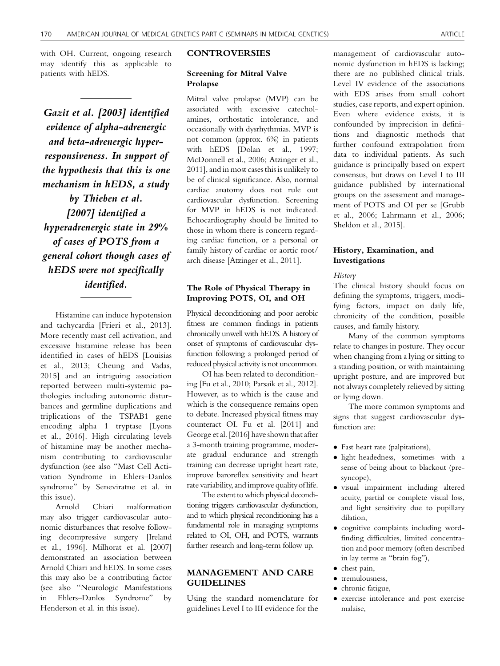with OH. Current, ongoing research may identify this as applicable to patients with hEDS.

Gazit et al. [2003] identified evidence of alpha-adrenergic and beta-adrenergic hyperresponsiveness. In support of the hypothesis that this is one mechanism in hEDS, a study by Thieben et al. [2007] identified a hyperadrenergic state in 29% of cases of POTS from a general cohort though cases of hEDS were not specifically identified.

Histamine can induce hypotension and tachycardia [Frieri et al., 2013]. More recently mast cell activation, and excessive histamine release has been identified in cases of hEDS [Louisias et al., 2013; Cheung and Vadas, 2015] and an intriguing association reported between multi-systemic pathologies including autonomic disturbances and germline duplications and triplications of the TSPAB1 gene encoding alpha 1 tryptase [Lyons et al., 2016]. High circulating levels of histamine may be another mechanism contributing to cardiovascular dysfunction (see also "Mast Cell Activation Syndrome in Ehlers–Danlos syndrome" by Seneviratne et al. in this issue).

Arnold Chiari malformation may also trigger cardiovascular autonomic disturbances that resolve following decompressive surgery [Ireland et al., 1996]. Milhorat et al. [2007] demonstrated an association between Arnold Chiari and hEDS. In some cases this may also be a contributing factor (see also "Neurologic Manifestations in Ehlers–Danlos Syndrome" by Henderson et al. in this issue).

#### **CONTROVERSIES**

#### Screening for Mitral Valve Prolapse

Mitral valve prolapse (MVP) can be associated with excessive catecholamines, orthostatic intolerance, and occasionally with dysrhythmias. MVP is not common (approx. 6%) in patients with hEDS [Dolan et al., 1997; McDonnell et al., 2006; Atzinger et al., 2011], and in most cases this is unlikely to be of clinical significance. Also, normal cardiac anatomy does not rule out cardiovascular dysfunction. Screening for MVP in hEDS is not indicated. Echocardiography should be limited to those in whom there is concern regarding cardiac function, or a personal or family history of cardiac or aortic root/ arch disease [Atzinger et al., 2011].

#### The Role of Physical Therapy in Improving POTS, OI, and OH

Physical deconditioning and poor aerobic fitness are common findings in patients chronically unwell with hEDS. A history of onset of symptoms of cardiovascular dysfunction following a prolonged period of reduced physical activity is not uncommon.

OI has been related to deconditioning [Fu et al., 2010; Parsaik et al., 2012]. However, as to which is the cause and which is the consequence remains open to debate. Increased physical fitness may counteract OI. Fu et al. [2011] and George et al. [2016] have shown that after a 3-month training programme, moderate gradual endurance and strength training can decrease upright heart rate, improve baroreflex sensitivity and heart rate variability, and improve qualityof life.

The extent to which physical deconditioning triggers cardiovascular dysfunction, and to which physical reconditioning has a fundamental role in managing symptoms related to OI, OH, and POTS, warrants further research and long-term follow up.

# MANAGEMENT AND CARE GUIDELINES

Using the standard nomenclature for guidelines Level I to III evidence for the management of cardiovascular autonomic dysfunction in hEDS is lacking; there are no published clinical trials. Level IV evidence of the associations with EDS arises from small cohort studies, case reports, and expert opinion. Even where evidence exists, it is confounded by imprecision in definitions and diagnostic methods that further confound extrapolation from data to individual patients. As such guidance is principally based on expert consensus, but draws on Level I to III guidance published by international groups on the assessment and management of POTS and OI per se [Grubb et al., 2006; Lahrmann et al., 2006; Sheldon et al., 2015].

#### History, Examination, and Investigations

The clinical history should focus on defining the symptoms, triggers, modifying factors, impact on daily life, chronicity of the condition, possible causes, and family history.

Many of the common symptoms relate to changes in posture. They occur when changing from a lying or sitting to a standing position, or with maintaining upright posture, and are improved but not always completely relieved by sitting or lying down.

The more common symptoms and signs that suggest cardiovascular dysfunction are:

- Fast heart rate (palpitations),
- light-headedness, sometimes with a sense of being about to blackout (presyncope),
- visual impairment including altered acuity, partial or complete visual loss, and light sensitivity due to pupillary dilation,
- cognitive complaints including wordfinding difficulties, limited concentration and poor memory (often described in lay terms as "brain fog"),
- chest pain,
- tremulousness,
- chronic fatigue,
- exercise intolerance and post exercise malaise,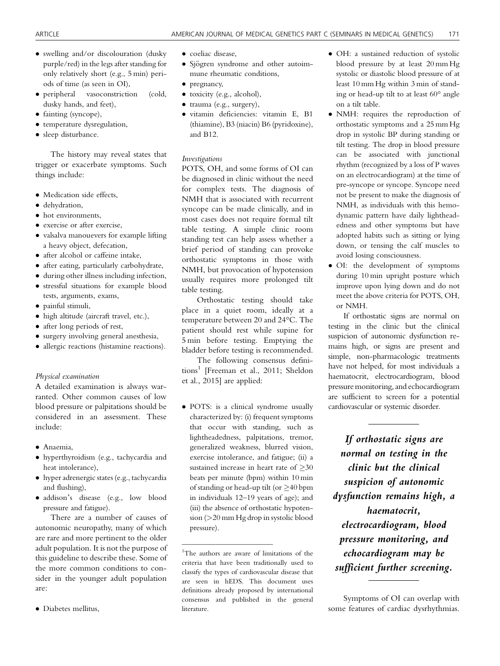- swelling and/or discolouration (dusky purple/red) in the legs after standing for only relatively short (e.g., 5 min) periods of time (as seen in OI),
- peripheral vasoconstriction (cold, dusky hands, and feet),
- fainting (syncope),
- $\bullet$  temperature dysregulation,
- sleep disturbance.

The history may reveal states that trigger or exacerbate symptoms. Such things include:

- $\bullet$  Medication side effects,
- $\bullet$  dehydration,
- hot environments.
- exercise or after exercise,
- valsalva manouevers for example lifting a heavy object, defecation,
- after alcohol or caffeine intake,
- after eating, particularly carbohydrate,
- during other illness including infection,
- stressful situations for example blood tests, arguments, exams,
- painful stimuli,
- high altitude (aircraft travel, etc.),
- after long periods of rest,
- surgery involving general anesthesia,
- allergic reactions (histamine reactions).

A detailed examination is always warranted. Other common causes of low blood pressure or palpitations should be considered in an assessment. These include:

- Anaemia,
- hyperthyroidism (e.g., tachycardia and heat intolerance),
- hyper adrenergic states (e.g., tachycardia and flushing),
- addison's disease (e.g., low blood pressure and fatigue).

There are a number of causes of autonomic neuropathy, many of which are rare and more pertinent to the older adult population. It is not the purpose of this guideline to describe these. Some of the more common conditions to consider in the younger adult population are:

Diabetes mellitus,

- coeliac disease,
- Sjögren syndrome and other autoimmune rheumatic conditions,
- $\bullet$  pregnancy,
- toxicity (e.g., alcohol),
- $\bullet$  trauma (e.g., surgery),
- vitamin deficiencies: vitamin E, B1 (thiamine), B3 (niacin) B6 (pyridoxine), and B12.

POTS, OH, and some forms of OI can be diagnosed in clinic without the need for complex tests. The diagnosis of NMH that is associated with recurrent syncope can be made clinically, and in most cases does not require formal tilt table testing. A simple clinic room standing test can help assess whether a brief period of standing can provoke orthostatic symptoms in those with NMH, but provocation of hypotension usually requires more prolonged tilt table testing.

Orthostatic testing should take place in a quiet room, ideally at a temperature between 20 and 24°C. The patient should rest while supine for 5 min before testing. Emptying the bladder before testing is recommended.

The following consensus definitions<sup>1</sup> [Freeman et al., 2011; Sheldon et al., 2015] are applied:

 POTS: is a clinical syndrome usually characterized by: (i) frequent symptoms that occur with standing, such as lightheadedness, palpitations, tremor, generalized weakness, blurred vision, exercise intolerance, and fatigue; (ii) a sustained increase in heart rate of  $\geq 30$ beats per minute (bpm) within 10 min of standing or head-up tilt (or  $\geq$ 40 bpm in individuals 12–19 years of age); and (iii) the absence of orthostatic hypotension (>20 mm Hg drop in systolic blood pressure).

- OH: a sustained reduction of systolic blood pressure by at least 20 mm Hg systolic or diastolic blood pressure of at least 10 mm Hg within 3 min of standing or head-up tilt to at least 60° angle on a tilt table.
- NMH: requires the reproduction of orthostatic symptoms and a 25 mm Hg drop in systolic BP during standing or tilt testing. The drop in blood pressure can be associated with junctional rhythm (recognized by a loss of P waves on an electrocardiogram) at the time of pre-syncope or syncope. Syncope need not be present to make the diagnosis of NMH, as individuals with this hemodynamic pattern have daily lightheadedness and other symptoms but have adopted habits such as sitting or lying down, or tensing the calf muscles to avoid losing consciousness.
- OI: the development of symptoms during 10 min upright posture which improve upon lying down and do not meet the above criteria for POTS, OH, or NMH.

If orthostatic signs are normal on testing in the clinic but the clinical suspicion of autonomic dysfunction remains high, or signs are present and simple, non-pharmacologic treatments have not helped, for most individuals a haematocrit, electrocardiogram, blood pressure monitoring, and echocardiogram are sufficient to screen for a potential cardiovascular or systemic disorder.

If orthostatic signs are normal on testing in the clinic but the clinical suspicion of autonomic dysfunction remains high, a haematocrit, electrocardiogram, blood pressure monitoring, and echocardiogram may be sufficient further screening.

<sup>1</sup> The authors are aware of limitations of the criteria that have been traditionally used to classify the types of cardiovascular disease that are seen in hEDS. This document uses definitions already proposed by international consensus and published in the general literature.

Symptoms of OI can overlap with some features of cardiac dysrhythmias.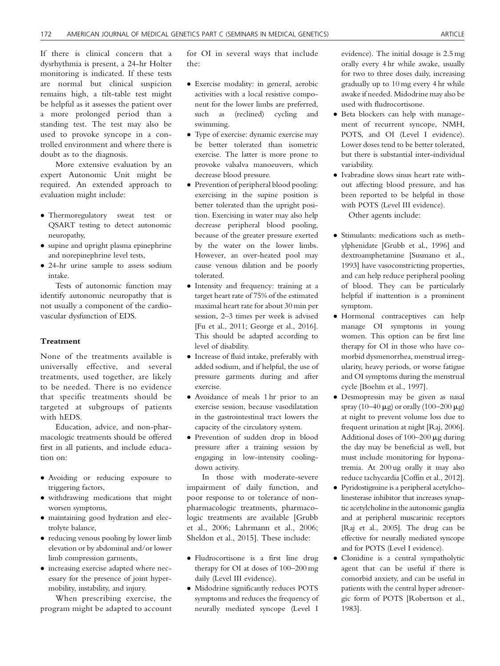If there is clinical concern that a dysrhythmia is present, a 24-hr Holter monitoring is indicated. If these tests are normal but clinical suspicion remains high, a tilt-table test might be helpful as it assesses the patient over a more prolonged period than a standing test. The test may also be used to provoke syncope in a controlled environment and where there is doubt as to the diagnosis.

More extensive evaluation by an expert Autonomic Unit might be required. An extended approach to evaluation might include:

- Thermoregulatory sweat test or QSART testing to detect autonomic neuropathy,
- supine and upright plasma epinephrine and norepinephrine level tests,
- 24-hr urine sample to assess sodium intake.

Tests of autonomic function may identify autonomic neuropathy that is not usually a component of the cardiovascular dysfunction of EDS.

#### Treatment

None of the treatments available is universally effective, and several treatments, used together, are likely to be needed. There is no evidence that specific treatments should be targeted at subgroups of patients with hEDS.

Education, advice, and non-pharmacologic treatments should be offered first in all patients, and include education on:

- Avoiding or reducing exposure to triggering factors,
- withdrawing medications that might worsen symptoms,
- maintaining good hydration and electrolyte balance,
- reducing venous pooling by lower limb elevation or by abdominal and/or lower limb compression garments,
- $\bullet$  increasing exercise adapted where necessary for the presence of joint hypermobility, instability, and injury.

When prescribing exercise, the program might be adapted to account for OI in several ways that include the:

- Exercise modality: in general, aerobic activities with a local resistive component for the lower limbs are preferred, such as (reclined) cycling and swimming.
- Type of exercise: dynamic exercise may be better tolerated than isometric exercise. The latter is more prone to provoke valsalva manoeuvers, which decrease blood pressure.
- Prevention of peripheral blood pooling: exercising in the supine position is better tolerated than the upright position. Exercising in water may also help decrease peripheral blood pooling, because of the greater pressure exerted by the water on the lower limbs. However, an over-heated pool may cause venous dilation and be poorly tolerated.
- Intensity and frequency: training at a target heart rate of 75% of the estimated maximal heart rate for about 30 min per session, 2–3 times per week is advised [Fu et al., 2011; George et al., 2016]. This should be adapted according to level of disability.
- Increase of fluid intake, preferably with added sodium, and if helpful, the use of pressure garments during and after exercise.
- Avoidance of meals 1 hr prior to an exercise session, because vasodilatation in the gastrointestinal tract lowers the capacity of the circulatory system.
- Prevention of sudden drop in blood pressure after a training session by engaging in low-intensity coolingdown activity.

In those with moderate-severe impairment of daily function, and poor response to or tolerance of nonpharmacologic treatments, pharmacologic treatments are available [Grubb et al., 2006; Lahrmann et al., 2006; Sheldon et al., 2015]. These include:

- Fludrocortisone is a first line drug therapy for OI at doses of 100–200 mg daily (Level III evidence).
- $\bullet$  Midodrine significantly reduces POTS symptoms and reduces the frequency of neurally mediated syncope (Level I

evidence). The initial dosage is 2.5 mg orally every 4 hr while awake, usually for two to three doses daily, increasing gradually up to 10 mg every 4 hr while awake if needed. Midodrine may also be used with fludrocortisone.

- Beta blockers can help with management of recurrent syncope, NMH, POTS, and OI (Level I evidence). Lower doses tend to be better tolerated, but there is substantial inter-individual variability.
- Ivabradine slows sinus heart rate without affecting blood pressure, and has been reported to be helpful in those with POTS (Level III evidence). Other agents include:
- Stimulants: medications such as methylphenidate [Grubb et al., 1996] and dextroamphetamine [Susmano et al., 1993] have vasoconstricting properties, and can help reduce peripheral pooling of blood. They can be particularly helpful if inattention is a prominent symptom.
- Hormonal contraceptives can help manage OI symptoms in young women. This option can be first line therapy for OI in those who have comorbid dysmenorrhea, menstrual irregularity, heavy periods, or worse fatigue and OI symptoms during the menstrual cycle [Boehm et al., 1997].
- Desmopressin may be given as nasal spray (10–40  $\mu$ g) or orally (100–200  $\mu$ g) at night to prevent volume loss due to frequent urination at night [Raj, 2006]. Additional doses of  $100-200 \mu$ g during the day may be beneficial as well, but must include monitoring for hyponatremia. At 200 ug orally it may also reduce tachycardia [Coffin et al., 2012].
- Pyridostigmine is a peripheral acetylcholinesterase inhibitor that increases synaptic acetylcholine in the autonomic ganglia and at peripheral muscarinic receptors [Raj et al., 2005]. The drug can be effective for neurally mediated syncope and for POTS (Level I evidence).
- Clonidine is a central sympatholytic agent that can be useful if there is comorbid anxiety, and can be useful in patients with the central hyper adrenergic form of POTS [Robertson et al., 1983].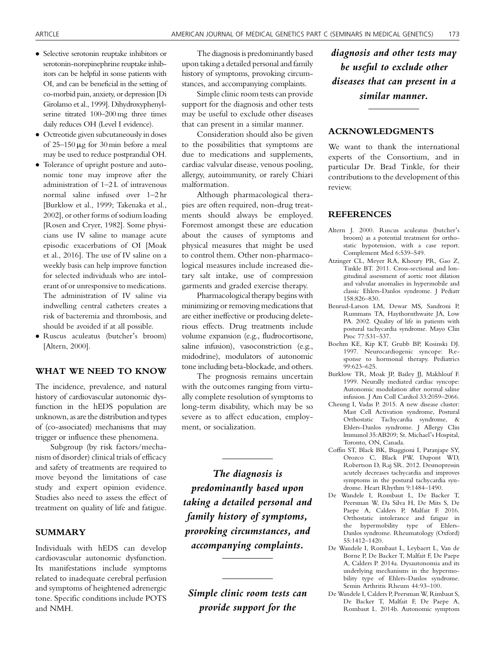- Selective serotonin reuptake inhibitors or serotonin-norepinephrine reuptake inhibitors can be helpful in some patients with OI, and can be beneficial in the setting of co-morbid pain, anxiety, or depression [Di Girolamo et al., 1999]. Dihydroxyphenylserine titrated 100–200 mg three times daily reduces OH (Level I evidence).
- Octreotide given subcutaneously in doses of  $25-150 \mu g$  for 30 min before a meal may be used to reduce postprandial OH.
- Tolerance of upright posture and autonomic tone may improve after the administration of 1–2 L of intravenous normal saline infused over 1–2 hr [Burklow et al., 1999; Takenaka et al., 2002], or other forms of sodium loading [Rosen and Cryer, 1982]. Some physicians use IV saline to manage acute episodic exacerbations of OI [Moak et al., 2016]. The use of IV saline on a weekly basis can help improve function for selected individuals who are intolerant of or unresponsive to medications. The administration of IV saline via indwelling central catheters creates a risk of bacteremia and thrombosis, and should be avoided if at all possible.
- Ruscus aculeatus (butcher's broom) [Altern, 2000].

## WHAT WE NEED TO KNOW

The incidence, prevalence, and natural history of cardiovascular autonomic dysfunction in the hEDS population are unknown, as are the distribution and types of (co-associated) mechanisms that may trigger or influence these phenomena.

Subgroup (by risk factors/mechanism of disorder) clinical trials of efficacy and safety of treatments are required to move beyond the limitations of case study and expert opinion evidence. Studies also need to assess the effect of treatment on quality of life and fatigue.

### SUMMARY

Individuals with hEDS can develop cardiovascular autonomic dysfunction. Its manifestations include symptoms related to inadequate cerebral perfusion and symptoms of heightened adrenergic tone. Specific conditions include POTS and NMH.

The diagnosis is predominantly based upon taking a detailed personal and family history of symptoms, provoking circumstances, and accompanying complaints.

Simple clinic room tests can provide support for the diagnosis and other tests may be useful to exclude other diseases that can present in a similar manner.

Consideration should also be given to the possibilities that symptoms are due to medications and supplements, cardiac valvular disease, venous pooling, allergy, autoimmunity, or rarely Chiari malformation.

Although pharmacological therapies are often required, non-drug treatments should always be employed. Foremost amongst these are education about the causes of symptoms and physical measures that might be used to control them. Other non-pharmacological measures include increased dietary salt intake, use of compression garments and graded exercise therapy.

Pharmacological therapy begins with minimizing or removing medications that are either ineffective or producing deleterious effects. Drug treatments include volume expansion (e.g., fludrocortisone, saline infusion), vasoconstriction (e.g., midodrine), modulators of autonomic tone including beta-blockade, and others.

The prognosis remains uncertain with the outcomes ranging from virtually complete resolution of symptoms to long-term disability, which may be so severe as to affect education, employment, or socialization.

The diagnosis is predominantly based upon taking a detailed personal and family history of symptoms, provoking circumstances, and accompanying complaints.

Simple clinic room tests can provide support for the

diagnosis and other tests may be useful to exclude other diseases that can present in a similar manner.

### ACKNOWLEDGMENTS

We want to thank the international experts of the Consortium, and in particular Dr. Brad Tinkle, for their contributions to the development of this review.

#### REFERENCES

- Altern J. 2000. Ruscus aculeatus (butcher's broom) as a potential treatment for orthostatic hypotension, with a case report. Complement Med 6:539–549.
- Atzinger CL, Meyer RA, Khoury PR, Gao Z, Tinkle BT. 2011. Cross-sectional and longitudinal assessment of aortic root dilation and valvular anomalies in hypermobile and classic Ehlers-Danlos syndrome. J Pediatr 158:826–830.
- Benrud-Larson LM, Dewar MS, Sandroni P, Rummans TA, Haythornthwaite JA, Low PA. 2002. Quality of life in patients with postural tachycardia syndrome. Mayo Clin Proc 77:531–537.
- Boehm KE, Kip KT, Grubb BP, Kosinski DJ. 1997. Neurocardiogenic syncope: Response to hormonal therapy. Pediatrics 99:623–625.
- Burklow TR, Moak JP, Bailey JJ, Makhlouf F. 1999. Neurally mediated cardiac syncope: Autonomic modulation after normal saline infusion. J Am Coll Cardiol 33:2059–2066.
- Cheung I, Vadas P. 2015. A new disease cluster: Mast Cell Activation syndrome, Postural Orthostatic Tachycardia syndrome, & Ehlers-Danlos syndrome. J Allergy Clin lmmunol 35:AB209; St. Michael's Hospital, Toronto, ON, Canada.
- Coffin ST, Black BK, Biaggioni I, Paranjape SY, Orozco C, Black PW, Dupont WD, Robertson D, Raj SR. 2012. Desmopressin acutely decreases tachycardia and improves symptoms in the postural tachycardia syndrome. Heart Rhythm 9:1484–1490.
- De Wandele I, Rombaut L, De Backer T, Peersman W, Da Silva H, De Mits S, De Paepe A, Calders P, Malfait F. 2016. Orthostatic intolerance and fatigue in the hypermobility type of Ehlers-Danlos syndrome. Rheumatology (Oxford) 55:1412–1420.
- De Wandele I, Rombaut L, Leybaert L, Van de Borne P, De Backer T, Malfait F, De Paepe A, Calders P. 2014a. Dysautonomia and its underlying mechanisms in the hypermobility type of Ehlers-Danlos syndrome. Semin Arthritis Rheum 44:93–100.
- De Wandele I, Calders P, Peersman W, Rimbaut S, De Backer T, Malfait F, De Paepe A, Rombaut L. 2014b. Autonomic symptom